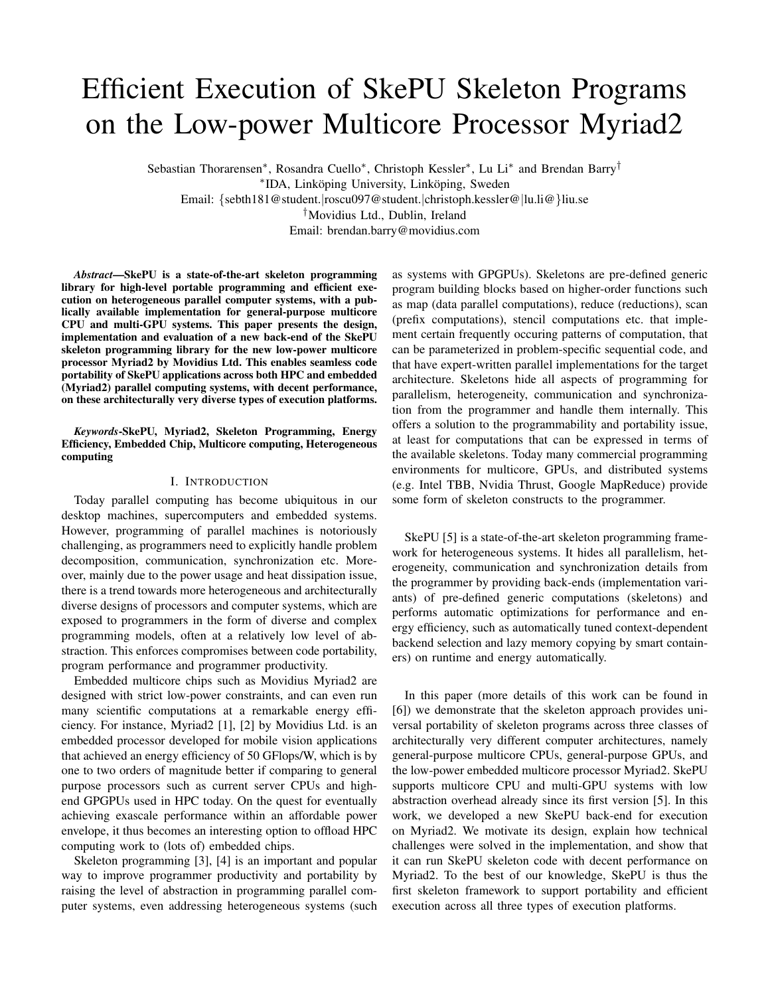# Efficient Execution of SkePU Skeleton Programs on the Low-power Multicore Processor Myriad2

Sebastian Thorarensen<sup>\*</sup>, Rosandra Cuello<sup>\*</sup>, Christoph Kessler<sup>\*</sup>, Lu Li<sup>\*</sup> and Brendan Barry<sup>†</sup> \*IDA, Linköping University, Linköping, Sweden Email: {sebth181@student.|roscu097@student.|christoph.kessler@|lu.li@}liu.se †Movidius Ltd., Dublin, Ireland Email: brendan.barry@movidius.com

*Abstract*—SkePU is a state-of-the-art skeleton programming library for high-level portable programming and efficient execution on heterogeneous parallel computer systems, with a publically available implementation for general-purpose multicore CPU and multi-GPU systems. This paper presents the design, implementation and evaluation of a new back-end of the SkePU skeleton programming library for the new low-power multicore processor Myriad2 by Movidius Ltd. This enables seamless code portability of SkePU applications across both HPC and embedded (Myriad2) parallel computing systems, with decent performance, on these architecturally very diverse types of execution platforms.

## *Keywords*-SkePU, Myriad2, Skeleton Programming, Energy Efficiency, Embedded Chip, Multicore computing, Heterogeneous computing

## I. INTRODUCTION

Today parallel computing has become ubiquitous in our desktop machines, supercomputers and embedded systems. However, programming of parallel machines is notoriously challenging, as programmers need to explicitly handle problem decomposition, communication, synchronization etc. Moreover, mainly due to the power usage and heat dissipation issue, there is a trend towards more heterogeneous and architecturally diverse designs of processors and computer systems, which are exposed to programmers in the form of diverse and complex programming models, often at a relatively low level of abstraction. This enforces compromises between code portability, program performance and programmer productivity.

Embedded multicore chips such as Movidius Myriad2 are designed with strict low-power constraints, and can even run many scientific computations at a remarkable energy efficiency. For instance, Myriad2 [1], [2] by Movidius Ltd. is an embedded processor developed for mobile vision applications that achieved an energy efficiency of 50 GFlops/W, which is by one to two orders of magnitude better if comparing to general purpose processors such as current server CPUs and highend GPGPUs used in HPC today. On the quest for eventually achieving exascale performance within an affordable power envelope, it thus becomes an interesting option to offload HPC computing work to (lots of) embedded chips.

Skeleton programming [3], [4] is an important and popular way to improve programmer productivity and portability by raising the level of abstraction in programming parallel computer systems, even addressing heterogeneous systems (such as systems with GPGPUs). Skeletons are pre-defined generic program building blocks based on higher-order functions such as map (data parallel computations), reduce (reductions), scan (prefix computations), stencil computations etc. that implement certain frequently occuring patterns of computation, that can be parameterized in problem-specific sequential code, and that have expert-written parallel implementations for the target architecture. Skeletons hide all aspects of programming for parallelism, heterogeneity, communication and synchronization from the programmer and handle them internally. This offers a solution to the programmability and portability issue, at least for computations that can be expressed in terms of the available skeletons. Today many commercial programming environments for multicore, GPUs, and distributed systems (e.g. Intel TBB, Nvidia Thrust, Google MapReduce) provide some form of skeleton constructs to the programmer.

SkePU [5] is a state-of-the-art skeleton programming framework for heterogeneous systems. It hides all parallelism, heterogeneity, communication and synchronization details from the programmer by providing back-ends (implementation variants) of pre-defined generic computations (skeletons) and performs automatic optimizations for performance and energy efficiency, such as automatically tuned context-dependent backend selection and lazy memory copying by smart containers) on runtime and energy automatically.

In this paper (more details of this work can be found in [6]) we demonstrate that the skeleton approach provides universal portability of skeleton programs across three classes of architecturally very different computer architectures, namely general-purpose multicore CPUs, general-purpose GPUs, and the low-power embedded multicore processor Myriad2. SkePU supports multicore CPU and multi-GPU systems with low abstraction overhead already since its first version [5]. In this work, we developed a new SkePU back-end for execution on Myriad2. We motivate its design, explain how technical challenges were solved in the implementation, and show that it can run SkePU skeleton code with decent performance on Myriad2. To the best of our knowledge, SkePU is thus the first skeleton framework to support portability and efficient execution across all three types of execution platforms.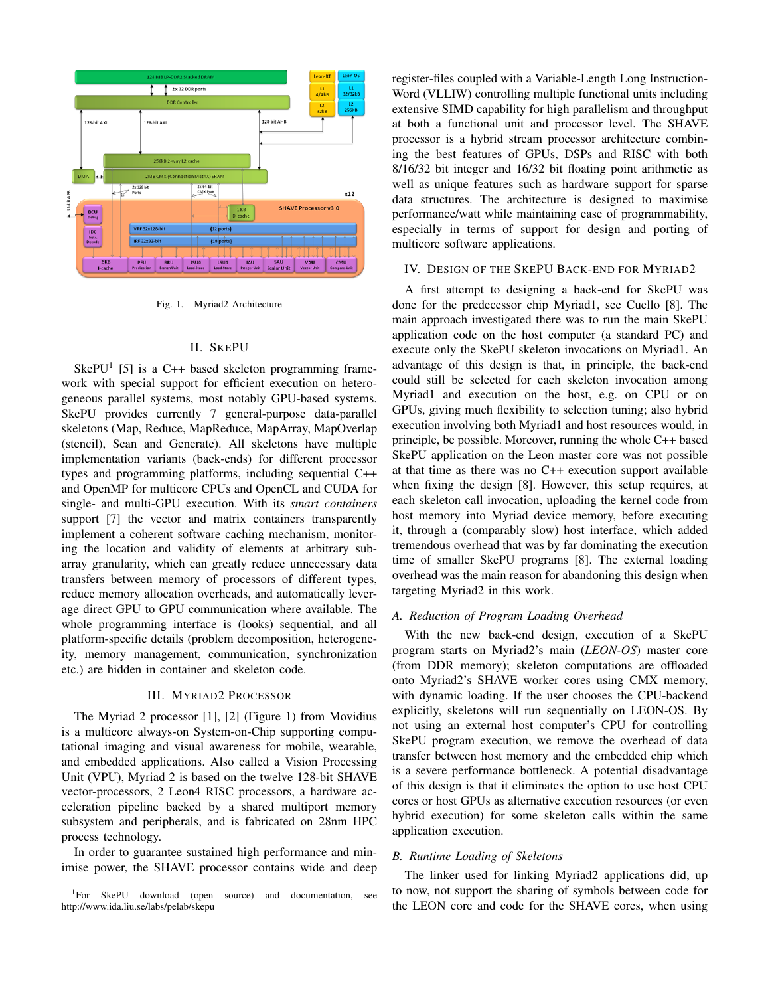

Fig. 1. Myriad2 Architecture

### II. SKEPU

SkePU<sup>1</sup> [5] is a C++ based skeleton programming framework with special support for efficient execution on heterogeneous parallel systems, most notably GPU-based systems. SkePU provides currently 7 general-purpose data-parallel skeletons (Map, Reduce, MapReduce, MapArray, MapOverlap (stencil), Scan and Generate). All skeletons have multiple implementation variants (back-ends) for different processor types and programming platforms, including sequential C++ and OpenMP for multicore CPUs and OpenCL and CUDA for single- and multi-GPU execution. With its *smart containers* support [7] the vector and matrix containers transparently implement a coherent software caching mechanism, monitoring the location and validity of elements at arbitrary subarray granularity, which can greatly reduce unnecessary data transfers between memory of processors of different types, reduce memory allocation overheads, and automatically leverage direct GPU to GPU communication where available. The whole programming interface is (looks) sequential, and all platform-specific details (problem decomposition, heterogeneity, memory management, communication, synchronization etc.) are hidden in container and skeleton code.

### III. MYRIAD2 PROCESSOR

The Myriad 2 processor [1], [2] (Figure 1) from Movidius is a multicore always-on System-on-Chip supporting computational imaging and visual awareness for mobile, wearable, and embedded applications. Also called a Vision Processing Unit (VPU), Myriad 2 is based on the twelve 128-bit SHAVE vector-processors, 2 Leon4 RISC processors, a hardware acceleration pipeline backed by a shared multiport memory subsystem and peripherals, and is fabricated on 28nm HPC process technology.

In order to guarantee sustained high performance and minimise power, the SHAVE processor contains wide and deep register-files coupled with a Variable-Length Long Instruction-Word (VLLIW) controlling multiple functional units including extensive SIMD capability for high parallelism and throughput at both a functional unit and processor level. The SHAVE processor is a hybrid stream processor architecture combining the best features of GPUs, DSPs and RISC with both 8/16/32 bit integer and 16/32 bit floating point arithmetic as well as unique features such as hardware support for sparse data structures. The architecture is designed to maximise performance/watt while maintaining ease of programmability, especially in terms of support for design and porting of multicore software applications.

# IV. DESIGN OF THE SKEPU BACK-END FOR MYRIAD2

A first attempt to designing a back-end for SkePU was done for the predecessor chip Myriad1, see Cuello [8]. The main approach investigated there was to run the main SkePU application code on the host computer (a standard PC) and execute only the SkePU skeleton invocations on Myriad1. An advantage of this design is that, in principle, the back-end could still be selected for each skeleton invocation among Myriad1 and execution on the host, e.g. on CPU or on GPUs, giving much flexibility to selection tuning; also hybrid execution involving both Myriad1 and host resources would, in principle, be possible. Moreover, running the whole C++ based SkePU application on the Leon master core was not possible at that time as there was no C++ execution support available when fixing the design [8]. However, this setup requires, at each skeleton call invocation, uploading the kernel code from host memory into Myriad device memory, before executing it, through a (comparably slow) host interface, which added tremendous overhead that was by far dominating the execution time of smaller SkePU programs [8]. The external loading overhead was the main reason for abandoning this design when targeting Myriad2 in this work.

# *A. Reduction of Program Loading Overhead*

With the new back-end design, execution of a SkePU program starts on Myriad2's main (*LEON-OS*) master core (from DDR memory); skeleton computations are offloaded onto Myriad2's SHAVE worker cores using CMX memory, with dynamic loading. If the user chooses the CPU-backend explicitly, skeletons will run sequentially on LEON-OS. By not using an external host computer's CPU for controlling SkePU program execution, we remove the overhead of data transfer between host memory and the embedded chip which is a severe performance bottleneck. A potential disadvantage of this design is that it eliminates the option to use host CPU cores or host GPUs as alternative execution resources (or even hybrid execution) for some skeleton calls within the same application execution.

# *B. Runtime Loading of Skeletons*

The linker used for linking Myriad2 applications did, up to now, not support the sharing of symbols between code for the LEON core and code for the SHAVE cores, when using

<sup>1</sup>For SkePU download (open source) and documentation, see http://www.ida.liu.se/labs/pelab/skepu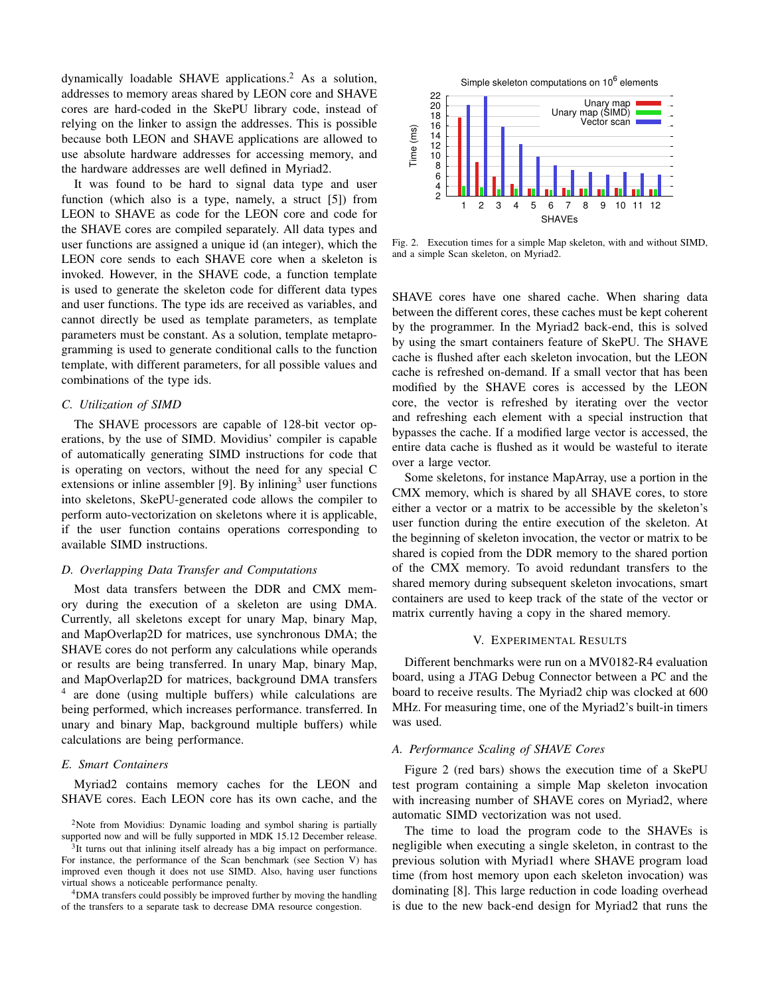dynamically loadable SHAVE applications.<sup>2</sup> As a solution, addresses to memory areas shared by LEON core and SHAVE cores are hard-coded in the SkePU library code, instead of relying on the linker to assign the addresses. This is possible because both LEON and SHAVE applications are allowed to use absolute hardware addresses for accessing memory, and the hardware addresses are well defined in Myriad2.

It was found to be hard to signal data type and user function (which also is a type, namely, a struct [5]) from LEON to SHAVE as code for the LEON core and code for the SHAVE cores are compiled separately. All data types and user functions are assigned a unique id (an integer), which the LEON core sends to each SHAVE core when a skeleton is invoked. However, in the SHAVE code, a function template is used to generate the skeleton code for different data types and user functions. The type ids are received as variables, and cannot directly be used as template parameters, as template parameters must be constant. As a solution, template metaprogramming is used to generate conditional calls to the function template, with different parameters, for all possible values and combinations of the type ids.

#### *C. Utilization of SIMD*

The SHAVE processors are capable of 128-bit vector operations, by the use of SIMD. Movidius' compiler is capable of automatically generating SIMD instructions for code that is operating on vectors, without the need for any special C extensions or inline assembler [9]. By inlining<sup>3</sup> user functions into skeletons, SkePU-generated code allows the compiler to perform auto-vectorization on skeletons where it is applicable, if the user function contains operations corresponding to available SIMD instructions.

#### *D. Overlapping Data Transfer and Computations*

Most data transfers between the DDR and CMX memory during the execution of a skeleton are using DMA. Currently, all skeletons except for unary Map, binary Map, and MapOverlap2D for matrices, use synchronous DMA; the SHAVE cores do not perform any calculations while operands or results are being transferred. In unary Map, binary Map, and MapOverlap2D for matrices, background DMA transfers 4 are done (using multiple buffers) while calculations are being performed, which increases performance. transferred. In unary and binary Map, background multiple buffers) while calculations are being performance.

## *E. Smart Containers*

Myriad2 contains memory caches for the LEON and SHAVE cores. Each LEON core has its own cache, and the

<sup>2</sup>Note from Movidius: Dynamic loading and symbol sharing is partially supported now and will be fully supported in MDK 15.12 December release.

<sup>3</sup>It turns out that inlining itself already has a big impact on performance. For instance, the performance of the Scan benchmark (see Section V) has improved even though it does not use SIMD. Also, having user functions virtual shows a noticeable performance penalty.

<sup>4</sup>DMA transfers could possibly be improved further by moving the handling of the transfers to a separate task to decrease DMA resource congestion.



Fig. 2. Execution times for a simple Map skeleton, with and without SIMD, and a simple Scan skeleton, on Myriad2.

SHAVE cores have one shared cache. When sharing data between the different cores, these caches must be kept coherent by the programmer. In the Myriad2 back-end, this is solved by using the smart containers feature of SkePU. The SHAVE cache is flushed after each skeleton invocation, but the LEON cache is refreshed on-demand. If a small vector that has been modified by the SHAVE cores is accessed by the LEON core, the vector is refreshed by iterating over the vector and refreshing each element with a special instruction that bypasses the cache. If a modified large vector is accessed, the entire data cache is flushed as it would be wasteful to iterate over a large vector.

Some skeletons, for instance MapArray, use a portion in the CMX memory, which is shared by all SHAVE cores, to store either a vector or a matrix to be accessible by the skeleton's user function during the entire execution of the skeleton. At the beginning of skeleton invocation, the vector or matrix to be shared is copied from the DDR memory to the shared portion of the CMX memory. To avoid redundant transfers to the shared memory during subsequent skeleton invocations, smart containers are used to keep track of the state of the vector or matrix currently having a copy in the shared memory.

#### V. EXPERIMENTAL RESULTS

Different benchmarks were run on a MV0182-R4 evaluation board, using a JTAG Debug Connector between a PC and the board to receive results. The Myriad2 chip was clocked at 600 MHz. For measuring time, one of the Myriad2's built-in timers was used.

#### *A. Performance Scaling of SHAVE Cores*

Figure 2 (red bars) shows the execution time of a SkePU test program containing a simple Map skeleton invocation with increasing number of SHAVE cores on Myriad2, where automatic SIMD vectorization was not used.

The time to load the program code to the SHAVEs is negligible when executing a single skeleton, in contrast to the previous solution with Myriad1 where SHAVE program load time (from host memory upon each skeleton invocation) was dominating [8]. This large reduction in code loading overhead is due to the new back-end design for Myriad2 that runs the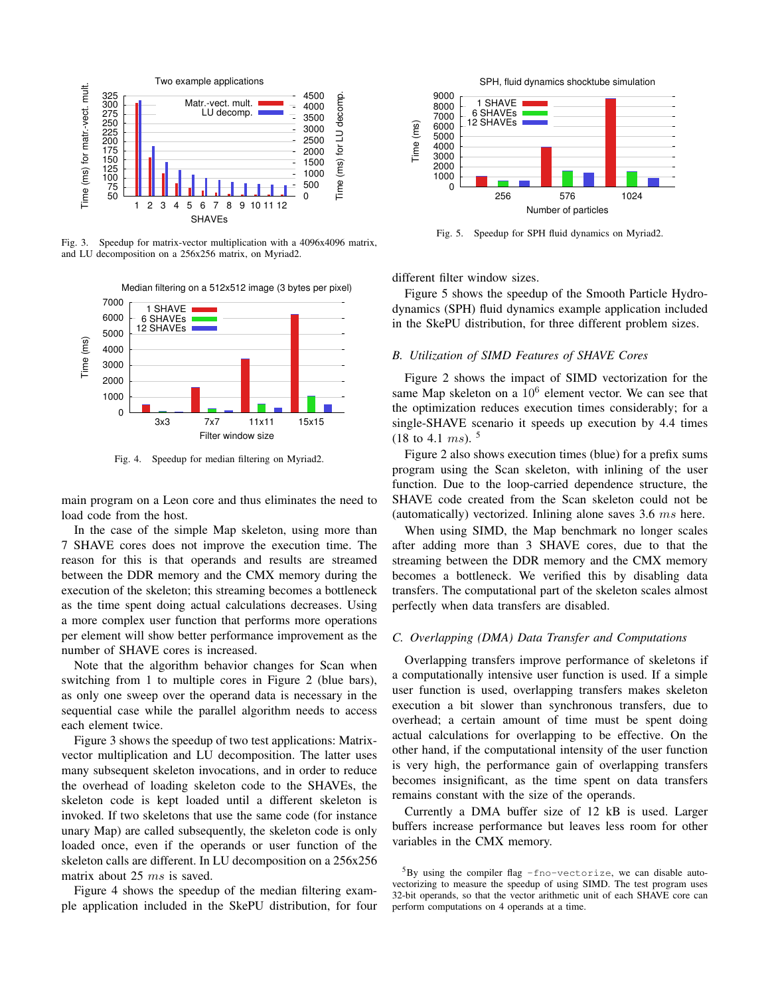

Fig. 3. Speedup for matrix-vector multiplication with a 4096x4096 matrix, and LU decomposition on a 256x256 matrix, on Myriad2.



Fig. 4. Speedup for median filtering on Myriad2.

main program on a Leon core and thus eliminates the need to load code from the host.

In the case of the simple Map skeleton, using more than 7 SHAVE cores does not improve the execution time. The reason for this is that operands and results are streamed between the DDR memory and the CMX memory during the execution of the skeleton; this streaming becomes a bottleneck as the time spent doing actual calculations decreases. Using a more complex user function that performs more operations per element will show better performance improvement as the number of SHAVE cores is increased.

Note that the algorithm behavior changes for Scan when switching from 1 to multiple cores in Figure 2 (blue bars), as only one sweep over the operand data is necessary in the sequential case while the parallel algorithm needs to access each element twice.

Figure 3 shows the speedup of two test applications: Matrixvector multiplication and LU decomposition. The latter uses many subsequent skeleton invocations, and in order to reduce the overhead of loading skeleton code to the SHAVEs, the skeleton code is kept loaded until a different skeleton is invoked. If two skeletons that use the same code (for instance unary Map) are called subsequently, the skeleton code is only loaded once, even if the operands or user function of the skeleton calls are different. In LU decomposition on a 256x256 matrix about 25 ms is saved.

Figure 4 shows the speedup of the median filtering example application included in the SkePU distribution, for four



Fig. 5. Speedup for SPH fluid dynamics on Myriad2.

different filter window sizes.

Figure 5 shows the speedup of the Smooth Particle Hydrodynamics (SPH) fluid dynamics example application included in the SkePU distribution, for three different problem sizes.

# *B. Utilization of SIMD Features of SHAVE Cores*

Figure 2 shows the impact of SIMD vectorization for the same Map skeleton on a  $10^6$  element vector. We can see that the optimization reduces execution times considerably; for a single-SHAVE scenario it speeds up execution by 4.4 times  $(18 \text{ to } 4.1 \text{ ms})$ .<sup>5</sup>

Figure 2 also shows execution times (blue) for a prefix sums program using the Scan skeleton, with inlining of the user function. Due to the loop-carried dependence structure, the SHAVE code created from the Scan skeleton could not be (automatically) vectorized. Inlining alone saves  $3.6$  ms here.

When using SIMD, the Map benchmark no longer scales after adding more than 3 SHAVE cores, due to that the streaming between the DDR memory and the CMX memory becomes a bottleneck. We verified this by disabling data transfers. The computational part of the skeleton scales almost perfectly when data transfers are disabled.

# *C. Overlapping (DMA) Data Transfer and Computations*

Overlapping transfers improve performance of skeletons if a computationally intensive user function is used. If a simple user function is used, overlapping transfers makes skeleton execution a bit slower than synchronous transfers, due to overhead; a certain amount of time must be spent doing actual calculations for overlapping to be effective. On the other hand, if the computational intensity of the user function is very high, the performance gain of overlapping transfers becomes insignificant, as the time spent on data transfers remains constant with the size of the operands.

Currently a DMA buffer size of 12 kB is used. Larger buffers increase performance but leaves less room for other variables in the CMX memory.

 $5By$  using the compiler flag  $-$ fno-vectorize, we can disable autovectorizing to measure the speedup of using SIMD. The test program uses 32-bit operands, so that the vector arithmetic unit of each SHAVE core can perform computations on 4 operands at a time.